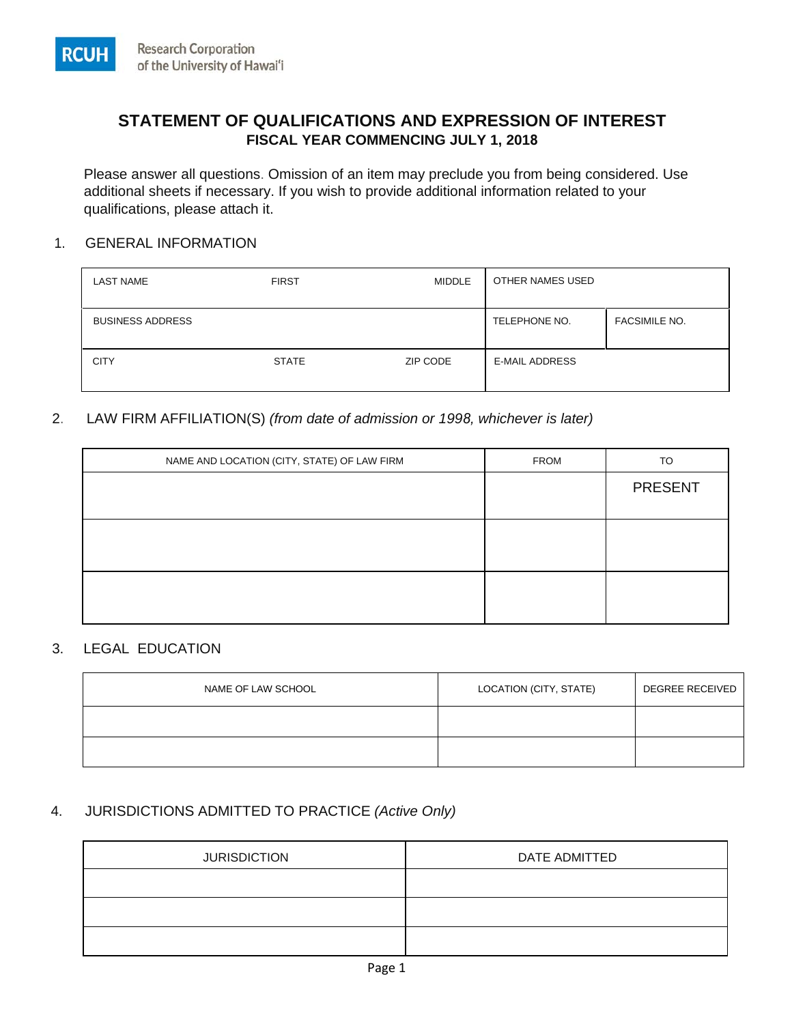

Please answer all questions. Omission of an item may preclude you from being considered. Use additional sheets if necessary. If you wish to provide additional information related to your qualifications, please attach it.

#### 1. GENERAL INFORMATION

**RCUH** 

| <b>LAST NAME</b>        | <b>FIRST</b> | <b>MIDDLE</b> | OTHER NAMES USED      |                      |
|-------------------------|--------------|---------------|-----------------------|----------------------|
| <b>BUSINESS ADDRESS</b> |              |               | TELEPHONE NO.         | <b>FACSIMILE NO.</b> |
| <b>CITY</b>             | <b>STATE</b> | ZIP CODE      | <b>E-MAIL ADDRESS</b> |                      |

## 2. LAW FIRM AFFILIATION(S) *(from date of admission or 1998, whichever is later)*

| NAME AND LOCATION (CITY, STATE) OF LAW FIRM | <b>FROM</b> | TO             |
|---------------------------------------------|-------------|----------------|
|                                             |             | <b>PRESENT</b> |
|                                             |             |                |
|                                             |             |                |
|                                             |             |                |
|                                             |             |                |
|                                             |             |                |

# 3. LEGAL EDUCATION

| NAME OF LAW SCHOOL | LOCATION (CITY, STATE) | <b>DEGREE RECEIVED</b> |
|--------------------|------------------------|------------------------|
|                    |                        |                        |
|                    |                        |                        |

# 4. JURISDICTIONS ADMITTED TO PRACTICE *(Active Only)*

| <b>JURISDICTION</b> | DATE ADMITTED |  |
|---------------------|---------------|--|
|                     |               |  |
|                     |               |  |
|                     |               |  |